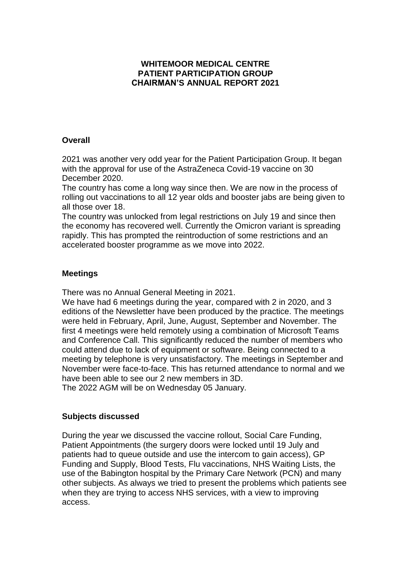## **WHITEMOOR MEDICAL CENTRE PATIENT PARTICIPATION GROUP CHAIRMAN'S ANNUAL REPORT 2021**

# **Overall**

2021 was another very odd year for the Patient Participation Group. It began with the approval for use of the AstraZeneca Covid-19 vaccine on 30 December 2020.

The country has come a long way since then. We are now in the process of rolling out vaccinations to all 12 year olds and booster jabs are being given to all those over 18.

The country was unlocked from legal restrictions on July 19 and since then the economy has recovered well. Currently the Omicron variant is spreading rapidly. This has prompted the reintroduction of some restrictions and an accelerated booster programme as we move into 2022.

## **Meetings**

There was no Annual General Meeting in 2021.

We have had 6 meetings during the year, compared with 2 in 2020, and 3 editions of the Newsletter have been produced by the practice. The meetings were held in February, April, June, August, September and November. The first 4 meetings were held remotely using a combination of Microsoft Teams and Conference Call. This significantly reduced the number of members who could attend due to lack of equipment or software. Being connected to a meeting by telephone is very unsatisfactory. The meetings in September and November were face-to-face. This has returned attendance to normal and we have been able to see our 2 new members in 3D. The 2022 AGM will be on Wednesday 05 January.

## **Subjects discussed**

During the year we discussed the vaccine rollout, Social Care Funding, Patient Appointments (the surgery doors were locked until 19 July and patients had to queue outside and use the intercom to gain access), GP Funding and Supply, Blood Tests, Flu vaccinations, NHS Waiting Lists, the use of the Babington hospital by the Primary Care Network (PCN) and many other subjects. As always we tried to present the problems which patients see when they are trying to access NHS services, with a view to improving access.